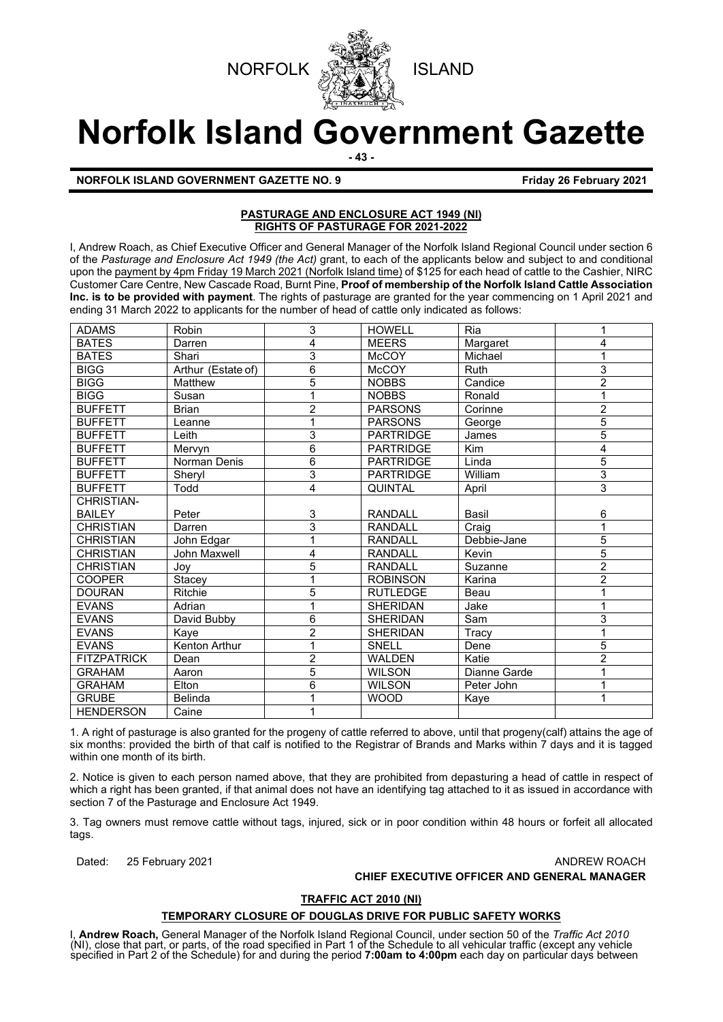



# **Norfolk Island Government Gazette**

**- 43 -**

#### **NORFOLK ISLAND GOVERNMENT GAZETTE NO. 9 <b>Friday 26 February 2021**

#### **PASTURAGE AND ENCLOSURE ACT 1949 (NI) RIGHTS OF PASTURAGE FOR 2021-2022**

I, Andrew Roach, as Chief Executive Officer and General Manager of the Norfolk Island Regional Council under section 6 of the *Pasturage and Enclosure Act 1949 (the Act)* grant, to each of the applicants below and subject to and conditional upon the payment by 4pm Friday 19 March 2021 (Norfolk Island time) of \$125 for each head of cattle to the Cashier, NIRC Customer Care Centre, New Cascade Road, Burnt Pine, **Proof of membership of the Norfolk Island Cattle Association Inc. is to be provided with payment**. The rights of pasturage are granted for the year commencing on 1 April 2021 and ending 31 March 2022 to applicants for the number of head of cattle only indicated as follows:

| <b>ADAMS</b>       | Robin              | 3              | <b>HOWELL</b>    | Ria          | 1              |
|--------------------|--------------------|----------------|------------------|--------------|----------------|
| <b>BATES</b>       | Darren             | 4              | <b>MEERS</b>     | Margaret     | 4              |
| <b>BATES</b>       | Shari              | 3              | <b>McCOY</b>     | Michael      | 1              |
| <b>BIGG</b>        | Arthur (Estate of) | 6              | <b>McCOY</b>     | <b>Ruth</b>  | 3              |
| <b>BIGG</b>        | Matthew            | 5              | <b>NOBBS</b>     | Candice      | $\overline{2}$ |
| <b>BIGG</b>        | Susan              |                | <b>NOBBS</b>     | Ronald       | 1              |
| <b>BUFFETT</b>     | <b>Brian</b>       | $\overline{2}$ | <b>PARSONS</b>   | Corinne      | $\overline{c}$ |
| <b>BUFFETT</b>     | Leanne             |                | <b>PARSONS</b>   | George       | 5              |
| <b>BUFFETT</b>     | Leith              | 3              | <b>PARTRIDGE</b> | James        | 5              |
| <b>BUFFETT</b>     | Mervyn             | 6              | <b>PARTRIDGE</b> | <b>Kim</b>   | 4              |
| <b>BUFFETT</b>     | Norman Denis       | 6              | <b>PARTRIDGE</b> | Linda        | $\overline{5}$ |
| <b>BUFFETT</b>     | Sheryl             | 3              | <b>PARTRIDGE</b> | William      | 3              |
| <b>BUFFETT</b>     | Todd               | 4              | <b>QUINTAL</b>   | April        | 3              |
| CHRISTIAN-         |                    |                |                  |              |                |
| <b>BAILEY</b>      | Peter              | 3              | <b>RANDALL</b>   | Basil        | 6              |
| <b>CHRISTIAN</b>   | Darren             | 3              | RANDALL          | Craig        | 1              |
| <b>CHRISTIAN</b>   | John Edgar         |                | <b>RANDALL</b>   | Debbie-Jane  | 5              |
| <b>CHRISTIAN</b>   | John Maxwell       | 4              | <b>RANDALL</b>   | Kevin        | 5              |
| <b>CHRISTIAN</b>   | Joy                | 5              | RANDALL          | Suzanne      | $\overline{2}$ |
| <b>COOPER</b>      | Stacey             |                | <b>ROBINSON</b>  | Karina       | $\overline{2}$ |
| <b>DOURAN</b>      | <b>Ritchie</b>     | 5              | <b>RUTLEDGE</b>  | Beau         |                |
| <b>EVANS</b>       | Adrian             |                | <b>SHERIDAN</b>  | Jake         |                |
| <b>EVANS</b>       | David Bubby        | 6              | <b>SHERIDAN</b>  | Sam          | 3              |
| <b>EVANS</b>       | Kaye               | 2              | <b>SHERIDAN</b>  | Tracy        | 1              |
| <b>EVANS</b>       | Kenton Arthur      | 1              | SNELL            | Dene         | 5              |
| <b>FITZPATRICK</b> | Dean               | 2              | <b>WALDEN</b>    | Katie        | $\overline{2}$ |
| <b>GRAHAM</b>      | Aaron              | 5              | <b>WILSON</b>    | Dianne Garde | 1              |
| <b>GRAHAM</b>      | Elton              | 6              | <b>WILSON</b>    | Peter John   | 1              |
| <b>GRUBE</b>       | <b>Belinda</b>     |                | <b>WOOD</b>      | Kaye         | 1              |
| <b>HENDERSON</b>   | Caine              |                |                  |              |                |

1. A right of pasturage is also granted for the progeny of cattle referred to above, until that progeny(calf) attains the age of six months: provided the birth of that calf is notified to the Registrar of Brands and Marks within 7 days and it is tagged within one month of its birth.

2. Notice is given to each person named above, that they are prohibited from depasturing a head of cattle in respect of which a right has been granted, if that animal does not have an identifying tag attached to it as issued in accordance with section 7 of the Pasturage and Enclosure Act 1949.

3. Tag owners must remove cattle without tags, injured, sick or in poor condition within 48 hours or forfeit all allocated tags.

Dated: 25 February 2021 **ANDREW ROACH BEEN ANDREW ROACH** 

**CHIEF EXECUTIVE OFFICER AND GENERAL MANAGER**

#### **TRAFFIC ACT 2010 (NI)**

#### **TEMPORARY CLOSURE OF DOUGLAS DRIVE FOR PUBLIC SAFETY WORKS**

I, **Andrew Roach,** General Manager of the Norfolk Island Regional Council, under section 50 of the *Traffic Act 2010* (NI), close that part, or parts, of the road specified in Part 1 of the Schedule to all vehicular traffic (except any vehicle specified in Part 2 of the Schedule) for and during the period **7:00am to 4:00pm** each day on particular days between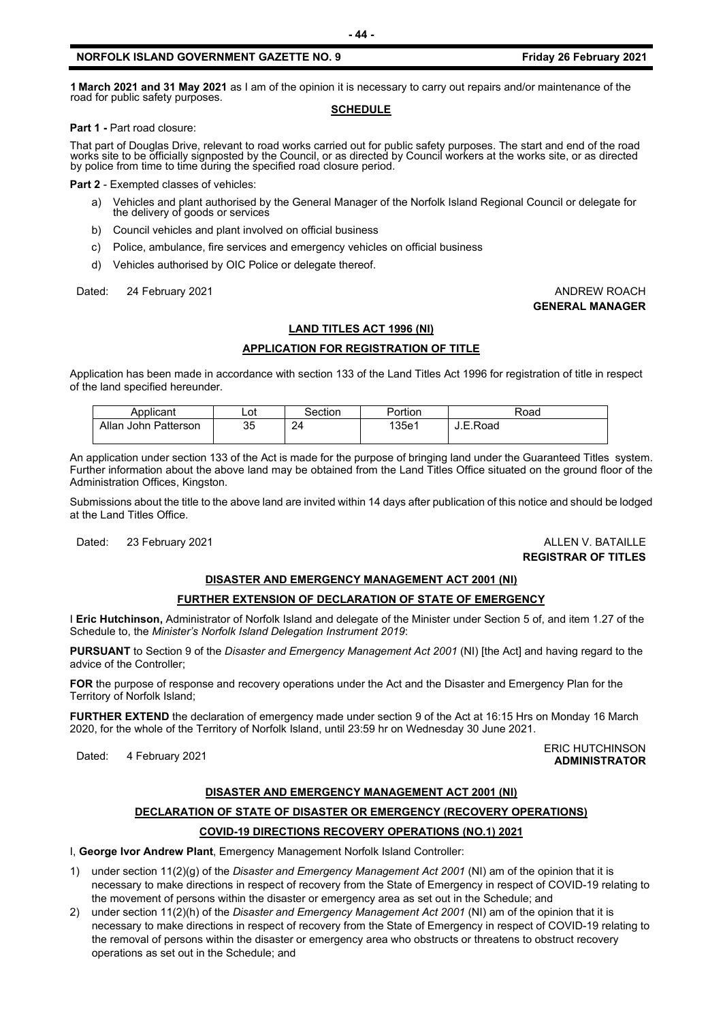#### **NORFOLK ISLAND GOVERNMENT GAZETTE NO. 9 <b>Friday 26 February 2021**

**<sup>1</sup> March <sup>2021</sup> and 31 May <sup>2021</sup>** as I am of the opinion it is necessary to carry out repairs and/or maintenance of the road for public safety purposes.

#### **SCHEDULE**

**Part 1 -** Part road closure:

That part of Douglas Drive, relevant to road works carried out for public safety purposes. The start and end of the road<br>works site to be officially signposted by the Council, or as directed by Council workers at the works by police from time to time during the specified road closure period.

**Part 2** - Exempted classes of vehicles:

- a) Vehicles and plant authorised by the General Manager of the Norfolk Island Regional Council or delegate for the delivery of goods or services
- b) Council vehicles and plant involved on official business
- c) Police, ambulance, fire services and emergency vehicles on official business
- d) Vehicles authorised by OIC Police or delegate thereof.

Dated: 24 February 2021 **ANDREW ROACH CONSUMING THE SET OF ANDREW ROACH** 

## **GENERAL MANAGER**

#### **LAND TITLES ACT 1996 (NI)**

#### **APPLICATION FOR REGISTRATION OF TITLE**

Application has been made in accordance with section 133 of the Land Titles Act 1996 for registration of title in respect of the land specified hereunder.

| Applicant            | Lot      | Section | Portion | Road     |
|----------------------|----------|---------|---------|----------|
| Allan John Patterson | つら<br>ບບ | 24      | 135e1   | J.E.Road |

An application under section 133 of the Act is made for the purpose of bringing land under the Guaranteed Titles system. Further information about the above land may be obtained from the Land Titles Office situated on the ground floor of the Administration Offices, Kingston.

Submissions about the title to the above land are invited within 14 days after publication of this notice and should be lodged at the Land Titles Office.

Dated: 23 February 2021 **ALLEN V. BATAILLE** 

**REGISTRAR OF TITLES**

#### **DISASTER AND EMERGENCY MANAGEMENT ACT 2001 (NI)**

#### **FURTHER EXTENSION OF DECLARATION OF STATE OF EMERGENCY**

I **Eric Hutchinson,** Administrator of Norfolk Island and delegate of the Minister under Section 5 of, and item 1.27 of the Schedule to, the *Minister's Norfolk Island Delegation Instrument 2019*:

**PURSUANT** to Section 9 of the *Disaster and Emergency Management Act 2001* (NI) [the Act] and having regard to the advice of the Controller;

**FOR** the purpose of response and recovery operations under the Act and the Disaster and Emergency Plan for the Territory of Norfolk Island;

**FURTHER EXTEND** the declaration of emergency made under section 9 of the Act at 16:15 Hrs on Monday 16 March 2020, for the whole of the Territory of Norfolk Island, until 23:59 hr on Wednesday 30 June 2021.

#### Dated: 4 February 2021<br>Dated: 4 February 2021 **ADMINISTRATOR**

#### **DISASTER AND EMERGENCY MANAGEMENT ACT 2001 (NI)**

### **DECLARATION OF STATE OF DISASTER OR EMERGENCY (RECOVERY OPERATIONS) COVID-19 DIRECTIONS RECOVERY OPERATIONS (NO.1) 2021**

I, **George Ivor Andrew Plant**, Emergency Management Norfolk Island Controller:

- 1) under section 11(2)(g) of the *Disaster and Emergency Management Act 2001* (NI) am of the opinion that it is necessary to make directions in respect of recovery from the State of Emergency in respect of COVID-19 relating to the movement of persons within the disaster or emergency area as set out in the Schedule; and
- 2) under section 11(2)(h) of the *Disaster and Emergency Management Act 2001* (NI) am of the opinion that it is necessary to make directions in respect of recovery from the State of Emergency in respect of COVID-19 relating to the removal of persons within the disaster or emergency area who obstructs or threatens to obstruct recovery operations as set out in the Schedule; and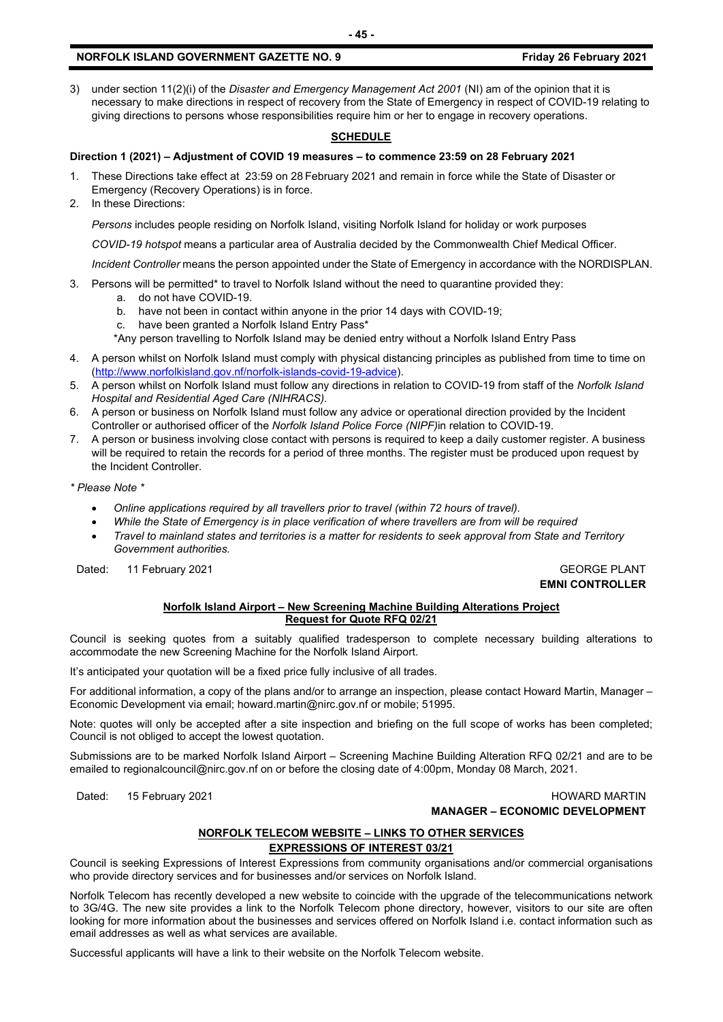#### **NORFOLK ISLAND GOVERNMENT GAZETTE NO. 9 <b>Friday 26 February 2021**

3) under section 11(2)(i) of the *Disaster and Emergency Management Act 2001* (NI) am of the opinion that it is necessary to make directions in respect of recovery from the State of Emergency in respect of COVID-19 relating to giving directions to persons whose responsibilities require him or her to engage in recovery operations.

#### **SCHEDULE**

#### **Direction 1 (2021) – Adjustment of COVID 19 measures – to commence 23:59 on 28 February 2021**

- 1. These Directions take effect at 23:59 on 28 February 2021 and remain in force while the State of Disaster or Emergency (Recovery Operations) is in force.
- 2. In these Directions:

*Persons* includes people residing on Norfolk Island, visiting Norfolk Island for holiday or work purposes

*COVID-19 hotspot* means a particular area of Australia decided by the Commonwealth Chief Medical Officer.

*Incident Controller* means the person appointed under the State of Emergency in accordance with the NORDISPLAN.

- 3. Persons will be permitted\* to travel to Norfolk Island without the need to quarantine provided they:
	- a. do not have COVID-19.
	- b. have not been in contact within anyone in the prior 14 days with COVID-19;
	- c. have been granted a Norfolk Island Entry Pass\*
	- \*Any person travelling to Norfolk Island may be denied entry without a Norfolk Island Entry Pass
- 4. A person whilst on Norfolk Island must comply with physical distancing principles as published from time to time on [\(http://www.norfolkisland.gov.nf/norfolk-islands-covid-19-advice\)](http://www.norfolkisland.gov.nf/norfolk-islands-covid-19-advice).
- 5. A person whilst on Norfolk Island must follow any directions in relation to COVID-19 from staff of the *Norfolk Island Hospital and Residential Aged Care (NIHRACS).*
- 6. A person or business on Norfolk Island must follow any advice or operational direction provided by the Incident Controller or authorised officer of the *Norfolk Island Police Force (NIPF)*in relation to COVID-19.
- 7. A person or business involving close contact with persons is required to keep a daily customer register. A business will be required to retain the records for a period of three months. The register must be produced upon request by the Incident Controller.

*\* Please Note \** 

- *Online applications required by all travellers prior to travel (within 72 hours of travel).*
- *While the State of Emergency is in place verification of where travellers are from will be required*
- *Travel to mainland states and territories is a matter for residents to seek approval from State and Territory Government authorities.*

Dated: 11 February 2021 Case of the Contract of the Contract of the Contract of the Contract of the Contract of GEORGE PLANT

**EMNI CONTROLLER**

#### **Norfolk Island Airport – New Screening Machine Building Alterations Project Request for Quote RFQ 02/21**

Council is seeking quotes from a suitably qualified tradesperson to complete necessary building alterations to accommodate the new Screening Machine for the Norfolk Island Airport.

It's anticipated your quotation will be a fixed price fully inclusive of all trades.

For additional information, a copy of the plans and/or to arrange an inspection, please contact Howard Martin, Manager – Economic Development via email; howard.martin@nirc.gov.nf or mobile; 51995.

Note: quotes will only be accepted after a site inspection and briefing on the full scope of works has been completed; Council is not obliged to accept the lowest quotation.

Submissions are to be marked Norfolk Island Airport – Screening Machine Building Alteration RFQ 02/21 and are to be emailed to regionalcouncil@nirc.gov.nf on or before the closing date of 4:00pm, Monday 08 March, 2021.

#### Dated: 15 February 2021 **https://www.franchology.com/intervalsed/intervalsed/intervalsed/intervalsed/intervalsed/intervalsed/intervalsed/intervalsed/intervalsed/intervalsed/intervalsed/intervalsed/intervalsed/intervalsed/i MANAGER – ECONOMIC DEVELOPMENT**

#### **NORFOLK TELECOM WEBSITE – LINKS TO OTHER SERVICES**

#### **EXPRESSIONS OF INTEREST 03/21**

Council is seeking Expressions of Interest Expressions from community organisations and/or commercial organisations who provide directory services and for businesses and/or services on Norfolk Island.

Norfolk Telecom has recently developed a new website to coincide with the upgrade of the telecommunications network to 3G/4G. The new site provides a link to the Norfolk Telecom phone directory, however, visitors to our site are often looking for more information about the businesses and services offered on Norfolk Island i.e. contact information such as email addresses as well as what services are available.

Successful applicants will have a link to their website on the Norfolk Telecom website.